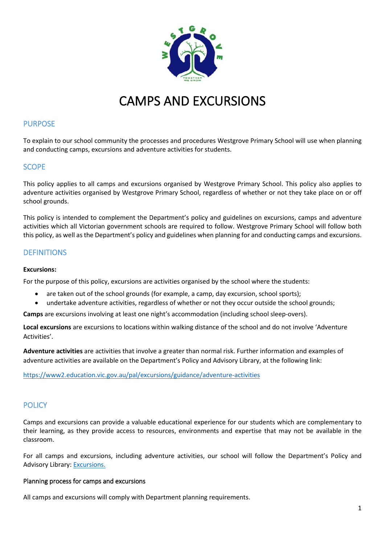

# CAMPS AND EXCURSIONS

# PURPOSE

To explain to our school community the processes and procedures Westgrove Primary School will use when planning and conducting camps, excursions and adventure activities for students.

# **SCOPE**

This policy applies to all camps and excursions organised by Westgrove Primary School. This policy also applies to adventure activities organised by Westgrove Primary School, regardless of whether or not they take place on or off school grounds.

This policy is intended to complement the Department's policy and guidelines on excursions, camps and adventure activities which all Victorian government schools are required to follow. Westgrove Primary School will follow both this policy, as well as the Department's policy and guidelines when planning for and conducting camps and excursions.

# **DEFINITIONS**

#### **Excursions:**

For the purpose of this policy, excursions are activities organised by the school where the students:

- are taken out of the school grounds (for example, a camp, day excursion, school sports);
- undertake adventure activities, regardless of whether or not they occur outside the school grounds;

**Camps** are excursions involving at least one night's accommodation (including school sleep-overs).

**Local excursions** are excursions to locations within walking distance of the school and do not involve 'Adventure Activities'.

**Adventure activities** are activities that involve a greater than normal risk. Further information and examples of adventure activities are available on the Department's Policy and Advisory Library, at the following link:

<https://www2.education.vic.gov.au/pal/excursions/guidance/adventure-activities>

# **POLICY**

Camps and excursions can provide a valuable educational experience for our students which are complementary to their learning, as they provide access to resources, environments and expertise that may not be available in the classroom.

For all camps and excursions, including adventure activities, our school will follow the Department's Policy and Advisory Library: [Excursions.](https://www2.education.vic.gov.au/pal/excursions/policy)

#### Planning process for camps and excursions

All camps and excursions will comply with Department planning requirements.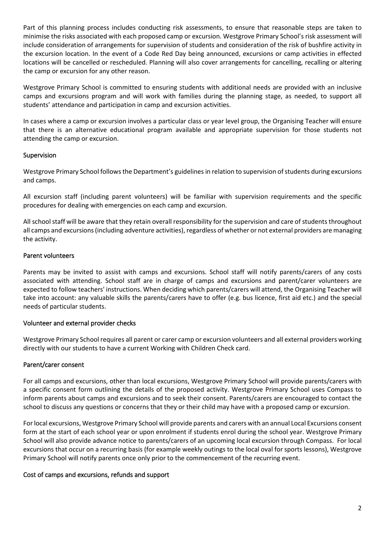Part of this planning process includes conducting risk assessments, to ensure that reasonable steps are taken to minimise the risks associated with each proposed camp or excursion. Westgrove Primary School's risk assessment will include consideration of arrangements for supervision of students and consideration of the risk of bushfire activity in the excursion location. In the event of a Code Red Day being announced, excursions or camp activities in effected locations will be cancelled or rescheduled. Planning will also cover arrangements for cancelling, recalling or altering the camp or excursion for any other reason.

Westgrove Primary School is committed to ensuring students with additional needs are provided with an inclusive camps and excursions program and will work with families during the planning stage, as needed, to support all students' attendance and participation in camp and excursion activities.

In cases where a camp or excursion involves a particular class or year level group, the Organising Teacher will ensure that there is an alternative educational program available and appropriate supervision for those students not attending the camp or excursion.

#### Supervision

Westgrove Primary School followsthe Department's guidelines in relation to supervision of students during excursions and camps.

All excursion staff (including parent volunteers) will be familiar with supervision requirements and the specific procedures for dealing with emergencies on each camp and excursion.

All school staff will be aware that they retain overall responsibility for the supervision and care of students throughout all camps and excursions(including adventure activities), regardless of whether or not external providers are managing the activity.

### Parent volunteers

Parents may be invited to assist with camps and excursions. School staff will notify parents/carers of any costs associated with attending. School staff are in charge of camps and excursions and parent/carer volunteers are expected to follow teachers' instructions. When deciding which parents/carers will attend, the Organising Teacher will take into account: any valuable skills the parents/carers have to offer (e.g. bus licence, first aid etc.) and the special needs of particular students.

#### Volunteer and external provider checks

Westgrove Primary School requires all parent or carer camp or excursion volunteers and all external providers working directly with our students to have a current Working with Children Check card.

#### Parent/carer consent

For all camps and excursions, other than local excursions, Westgrove Primary School will provide parents/carers with a specific consent form outlining the details of the proposed activity. Westgrove Primary School uses Compass to inform parents about camps and excursions and to seek their consent. Parents/carers are encouraged to contact the school to discuss any questions or concerns that they or their child may have with a proposed camp or excursion.

For local excursions, Westgrove Primary School will provide parents and carers with an annual Local Excursions consent form at the start of each school year or upon enrolment if students enrol during the school year. Westgrove Primary School will also provide advance notice to parents/carers of an upcoming local excursion through Compass. For local excursions that occur on a recurring basis (for example weekly outings to the local oval for sports lessons), Westgrove Primary School will notify parents once only prior to the commencement of the recurring event.

#### Cost of camps and excursions, refunds and support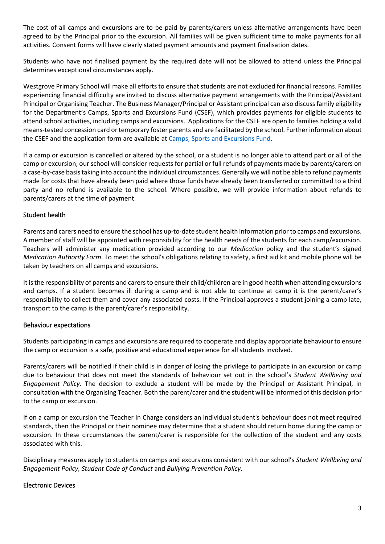The cost of all camps and excursions are to be paid by parents/carers unless alternative arrangements have been agreed to by the Principal prior to the excursion. All families will be given sufficient time to make payments for all activities. Consent forms will have clearly stated payment amounts and payment finalisation dates.

Students who have not finalised payment by the required date will not be allowed to attend unless the Principal determines exceptional circumstances apply.

Westgrove Primary School will make all efforts to ensure that students are not excluded for financial reasons. Families experiencing financial difficulty are invited to discuss alternative payment arrangements with the Principal/Assistant Principal or Organising Teacher. The Business Manager/Principal or Assistant principal can also discuss family eligibility for the Department's Camps, Sports and Excursions Fund (CSEF), which provides payments for eligible students to attend school activities, including camps and excursions. Applications for the CSEF are open to families holding a valid means-tested concession card or temporary foster parents and are facilitated by the school. Further information about the CSEF and the application form are available at [Camps, Sports and Excursions Fund.](https://www2.education.vic.gov.au/pal/camps-sports-and-excursions-fund/policy)

If a camp or excursion is cancelled or altered by the school, or a student is no longer able to attend part or all of the camp or excursion, our school will consider requests for partial or full refunds of payments made by parents/carers on a case-by-case basis taking into account the individual circumstances. Generally we will not be able to refund payments made for costs that have already been paid where those funds have already been transferred or committed to a third party and no refund is available to the school. Where possible, we will provide information about refunds to parents/carers at the time of payment.

#### Student health

Parents and carers need to ensure the school has up-to-date student health information prior to camps and excursions. A member of staff will be appointed with responsibility for the health needs of the students for each camp/excursion. Teachers will administer any medication provided according to our *Medication* policy and the student's signed *Medication Authority Form*. To meet the school's obligations relating to safety, a first aid kit and mobile phone will be taken by teachers on all camps and excursions.

It is the responsibility of parents and carers to ensure their child/children are in good health when attending excursions and camps. If a student becomes ill during a camp and is not able to continue at camp it is the parent/carer's responsibility to collect them and cover any associated costs. If the Principal approves a student joining a camp late, transport to the camp is the parent/carer's responsibility.

#### Behaviour expectations

Students participating in camps and excursions are required to cooperate and display appropriate behaviour to ensure the camp or excursion is a safe, positive and educational experience for all students involved.

Parents/carers will be notified if their child is in danger of losing the privilege to participate in an excursion or camp due to behaviour that does not meet the standards of behaviour set out in the school's *Student Wellbeing and Engagement Policy.* The decision to exclude a student will be made by the Principal or Assistant Principal, in consultation with the Organising Teacher. Both the parent/carer and the student will be informed of this decision prior to the camp or excursion.

If on a camp or excursion the Teacher in Charge considers an individual student's behaviour does not meet required standards, then the Principal or their nominee may determine that a student should return home during the camp or excursion. In these circumstances the parent/carer is responsible for the collection of the student and any costs associated with this.

Disciplinary measures apply to students on camps and excursions consistent with our school's *Student Wellbeing and Engagement Policy, Student Code of Conduct* and *Bullying Prevention Policy*.

#### Electronic Devices